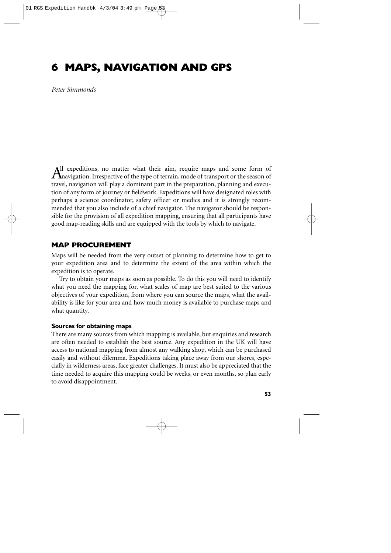*Peter Simmonds*

 $A<sup>ll</sup>$  expeditions, no matter what their aim, require maps and some form of mavigation. Irrespective of the type of terrain, mode of transport or the season of travel, navigation will play a dominant part in the preparation, planning and execution of any form of journey or fieldwork. Expeditions will have designated roles with perhaps a science coordinator, safety officer or medics and it is strongly recommended that you also include of a chief navigator. The navigator should be responsible for the provision of all expedition mapping, ensuring that all participants have good map-reading skills and are equipped with the tools by which to navigate.

### **MAP PROCUREMENT**

Maps will be needed from the very outset of planning to determine how to get to your expedition area and to determine the extent of the area within which the expedition is to operate.

Try to obtain your maps as soon as possible. To do this you will need to identify what you need the mapping for, what scales of map are best suited to the various objectives of your expedition, from where you can source the maps, what the availability is like for your area and how much money is available to purchase maps and what quantity.

### **Sources for obtaining maps**

There are many sources from which mapping is available, but enquiries and research are often needed to establish the best source. Any expedition in the UK will have access to national mapping from almost any walking shop, which can be purchased easily and without dilemma. Expeditions taking place away from our shores, especially in wilderness areas, face greater challenges. It must also be appreciated that the time needed to acquire this mapping could be weeks, or even months, so plan early to avoid disappointment.



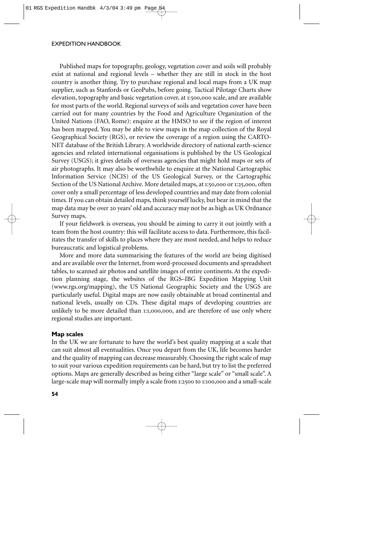Published maps for topography, geology, vegetation cover and soils will probably exist at national and regional levels – whether they are still in stock in the host country is another thing. Try to purchase regional and local maps from a UK map supplier, such as Stanfords or GeoPubs, before going. Tactical Pilotage Charts show elevation, topography and basic vegetation cover, at 1:500,000 scale, and are available for most parts of the world. Regional surveys of soils and vegetation cover have been carried out for many countries by the Food and Agriculture Organization of the United Nations (FAO, Rome): enquire at the HMSO to see if the region of interest has been mapped. You may be able to view maps in the map collection of the Royal Geographical Society (RGS), or review the coverage of a region using the CARTO-NET database of the British Library. A worldwide directory of national earth-science agencies and related international organisations is published by the US Geological Survey (USGS); it gives details of overseas agencies that might hold maps or sets of air photographs. It may also be worthwhile to enquire at the National Cartographic Information Service (NCIS) of the US Geological Survey, or the Cartographic Section of the US National Archive. More detailed maps, at 1:50,000 or 1:25,000, often cover only a small percentage of less developed countries and may date from colonial times. If you can obtain detailed maps, think yourself lucky, but bear in mind that the map data may be over 20 years' old and accuracy may not be as high as UK Ordnance Survey maps.

If your fieldwork is overseas, you should be aiming to carry it out jointly with a team from the host country: this will facilitate access to data. Furthermore, this facilitates the transfer of skills to places where they are most needed, and helps to reduce bureaucratic and logistical problems.

More and more data summarising the features of the world are being digitised and are available over the Internet, from word-processed documents and spreadsheet tables, to scanned air photos and satellite images of entire continents. At the expedition planning stage, the websites of the RGS–IBG Expedition Mapping Unit (www.rgs.org/mapping), the US National Geographic Society and the USGS are particularly useful. Digital maps are now easily obtainable at broad continental and national levels, usually on CDs. These digital maps of developing countries are unlikely to be more detailed than 1:1,000,000, and are therefore of use only where regional studies are important.

### **Map scales**

In the UK we are fortunate to have the world's best quality mapping at a scale that can suit almost all eventualities. Once you depart from the UK, life becomes harder and the quality of mapping can decrease measurably. Choosing the right scale of map to suit your various expedition requirements can be hard, but try to list the preferred options. Maps are generally described as being either "large scale" or "small scale". A large-scale map will normally imply a scale from 1:2500 to 1:100,000 and a small-scale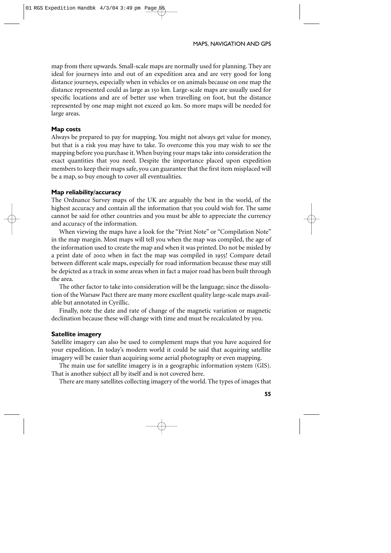map from there upwards. Small-scale maps are normally used for planning. They are ideal for journeys into and out of an expedition area and are very good for long distance journeys, especially when in vehicles or on animals because on one map the distance represented could as large as 150 km. Large-scale maps are usually used for specific locations and are of better use when travelling on foot, but the distance represented by one map might not exceed 40 km. So more maps will be needed for large areas.

### **Map costs**

Always be prepared to pay for mapping. You might not always get value for money, but that is a risk you may have to take. To overcome this you may wish to see the mapping before you purchase it. When buying your maps take into consideration the exact quantities that you need. Despite the importance placed upon expedition members to keep their maps safe, you can guarantee that the first item misplaced will be a map, so buy enough to cover all eventualities.

### **Map reliability/accuracy**

The Ordnance Survey maps of the UK are arguably the best in the world, of the highest accuracy and contain all the information that you could wish for. The same cannot be said for other countries and you must be able to appreciate the currency and accuracy of the information.

When viewing the maps have a look for the "Print Note" or "Compilation Note" in the map margin. Most maps will tell you when the map was compiled, the age of the information used to create the map and when it was printed. Do not be misled by a print date of 2002 when in fact the map was compiled in 1955! Compare detail between different scale maps, especially for road information because these may still be depicted as a track in some areas when in fact a major road has been built through the area.

The other factor to take into consideration will be the language; since the dissolution of the Warsaw Pact there are many more excellent quality large-scale maps available but annotated in Cyrillic.

Finally, note the date and rate of change of the magnetic variation or magnetic declination because these will change with time and must be recalculated by you.

#### **Satellite imagery**

Satellite imagery can also be used to complement maps that you have acquired for your expedition. In today's modern world it could be said that acquiring satellite imagery will be easier than acquiring some aerial photography or even mapping.

The main use for satellite imagery is in a geographic information system (GIS). That is another subject all by itself and is not covered here.

There are many satellites collecting imagery of the world. The types of images that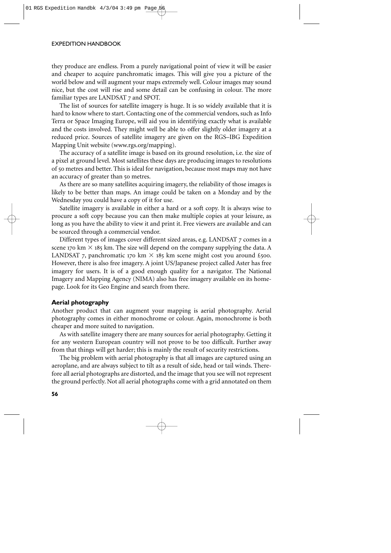they produce are endless. From a purely navigational point of view it will be easier and cheaper to acquire panchromatic images. This will give you a picture of the world below and will augment your maps extremely well. Colour images may sound nice, but the cost will rise and some detail can be confusing in colour. The more familiar types are LANDSAT 7 and SPOT.

The list of sources for satellite imagery is huge. It is so widely available that it is hard to know where to start. Contacting one of the commercial vendors, such as Info Terra or Space Imaging Europe, will aid you in identifying exactly what is available and the costs involved. They might well be able to offer slightly older imagery at a reduced price. Sources of satellite imagery are given on the RGS–IBG Expedition Mapping Unit website (www.rgs.org/mapping).

The accuracy of a satellite image is based on its ground resolution, i.e. the size of a pixel at ground level. Most satellites these days are producing images to resolutions of 50 metres and better. This is ideal for navigation, because most maps may not have an accuracy of greater than 50 metres.

As there are so many satellites acquiring imagery, the reliability of those images is likely to be better than maps. An image could be taken on a Monday and by the Wednesday you could have a copy of it for use.

Satellite imagery is available in either a hard or a soft copy. It is always wise to procure a soft copy because you can then make multiple copies at your leisure, as long as you have the ability to view it and print it. Free viewers are available and can be sourced through a commercial vendor.

Different types of images cover different sized areas, e.g. LANDSAT 7 comes in a scene 170 km  $\times$  185 km. The size will depend on the company supplying the data. A LANDSAT 7, panchromatic 170 km  $\times$  185 km scene might cost you around £500. However, there is also free imagery. A joint US/Japanese project called Aster has free imagery for users. It is of a good enough quality for a navigator. The National Imagery and Mapping Agency (NIMA) also has free imagery available on its homepage. Look for its Geo Engine and search from there.

### **Aerial photography**

Another product that can augment your mapping is aerial photography. Aerial photography comes in either monochrome or colour. Again, monochrome is both cheaper and more suited to navigation.

As with satellite imagery there are many sources for aerial photography. Getting it for any western European country will not prove to be too difficult. Further away from that things will get harder; this is mainly the result of security restrictions.

The big problem with aerial photography is that all images are captured using an aeroplane, and are always subject to tilt as a result of side, head or tail winds. Therefore all aerial photographs are distorted, and the image that you see will not represent the ground perfectly. Not all aerial photographs come with a grid annotated on them

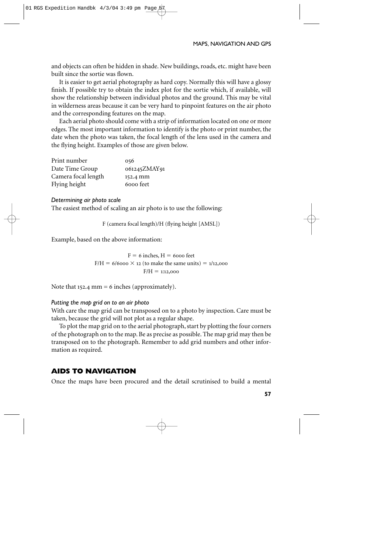and objects can often be hidden in shade. New buildings, roads, etc. might have been built since the sortie was flown.

It is easier to get aerial photography as hard copy. Normally this will have a glossy finish. If possible try to obtain the index plot for the sortie which, if available, will show the relationship between individual photos and the ground. This may be vital in wilderness areas because it can be very hard to pinpoint features on the air photo and the corresponding features on the map.

Each aerial photo should come with a strip of information located on one or more edges. The most important information to identify is the photo or print number, the date when the photo was taken, the focal length of the lens used in the camera and the flying height. Examples of those are given below.

| Print number        | 056          |
|---------------------|--------------|
| Date Time Group     | 061245ZMAY91 |
| Camera focal length | 152.4 mm     |
| Flying height       | 6000 feet    |

#### *Determining air photo scale*

The easiest method of scaling an air photo is to use the following:

F (camera focal length)/H (flying height [AMSL])

Example, based on the above information:

 $F = 6$  inches,  $H = 6000$  feet  $F/H = 6/6000 \times 12$  (to make the same units) = 1/12,000  $F/H = 1:12,000$ 

Note that 152.4 mm = 6 inches (approximately).

### *Putting the map grid on to an air photo*

With care the map grid can be transposed on to a photo by inspection. Care must be taken, because the grid will not plot as a regular shape.

To plot the map grid on to the aerial photograph, start by plotting the four corners of the photograph on to the map. Be as precise as possible. The map grid may then be transposed on to the photograph. Remember to add grid numbers and other information as required.

# **AIDS TO NAVIGATION**

Once the maps have been procured and the detail scrutinised to build a mental

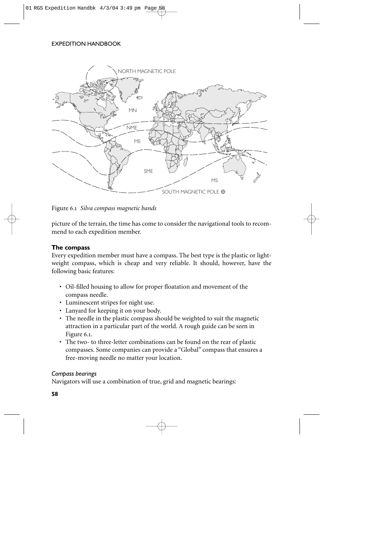

Figure 6.1 *Silva compass magnetic bands* 

picture of the terrain, the time has come to consider the navigational tools to recommend to each expedition member.

### **The compass**

Every expedition member must have a compass. The best type is the plastic or lightweight compass, which is cheap and very reliable. It should, however, have the following basic features:

- Oil-filled housing to allow for proper floatation and movement of the compass needle.
- Luminescent stripes for night use.
- Lanyard for keeping it on your body.
- The needle in the plastic compass should be weighted to suit the magnetic attraction in a particular part of the world. A rough guide can be seen in Figure 6.1.
- The two- to three-letter combinations can be found on the rear of plastic compasses. Some companies can provide a "Global" compass that ensures a free-moving needle no matter your location.

### *Compass bearings*

Navigators will use a combination of true, grid and magnetic bearings:

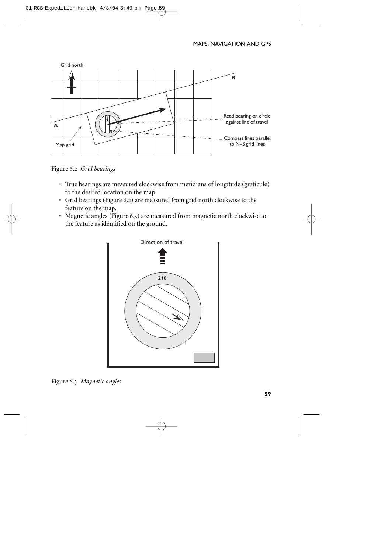

Figure 6.2 *Grid bearings*

- True bearings are measured clockwise from meridians of longitude (graticule) to the desired location on the map.
- Grid bearings (Figure 6.2) are measured from grid north clockwise to the feature on the map.
- Magnetic angles (Figure 6.3) are measured from magnetic north clockwise to the feature as identified on the ground.



Figure 6.3 *Magnetic angles*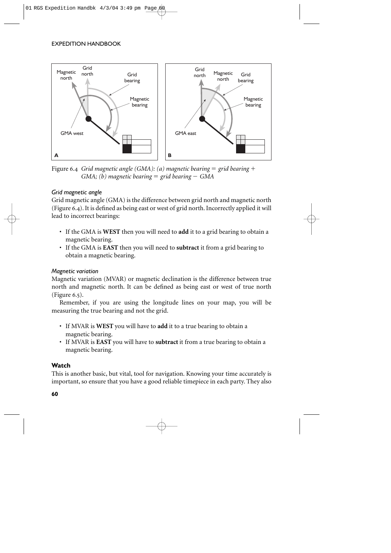

Figure 6.4 *Grid magnetic angle (GMA): (a) magnetic bearing = grid bearing* + *GMA; (b) magnetic bearing* = *grid bearing* – *GMA* 

### *Grid magnetic angle*

Grid magnetic angle (GMA) is the difference between grid north and magnetic north (Figure 6.4). It is defined as being east or west of grid north. Incorrectly applied it will lead to incorrect bearings:

- If the GMA is **WEST** then you will need to **add** it to a grid bearing to obtain a magnetic bearing.
- If the GMA is **EAST** then you will need to **subtract** it from a grid bearing to obtain a magnetic bearing.

### *Magnetic variation*

Magnetic variation (MVAR) or magnetic declination is the difference between true north and magnetic north. It can be defined as being east or west of true north (Figure 6.5).

Remember, if you are using the longitude lines on your map, you will be measuring the true bearing and not the grid.

- If MVAR is **WEST** you will have to **add** it to a true bearing to obtain a magnetic bearing.
- If MVAR is **EAST** you will have to **subtract** it from a true bearing to obtain a magnetic bearing.

### **Watch**

This is another basic, but vital, tool for navigation. Knowing your time accurately is important, so ensure that you have a good reliable timepiece in each party. They also

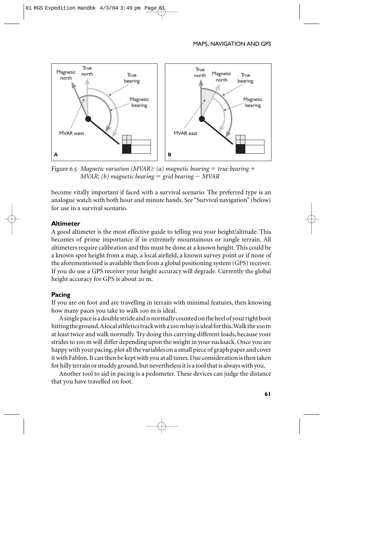

Figure 6.5 Magnetic variation (MVAR): (a) magnetic bearing = true bearing + *MVAR; (b) magnetic bearing = grid bearing – MVAR* 

become vitally important if faced with a survival scenario. The preferred type is an analogue watch with both hour and minute hands. See "Survival navigation" (below) for use in a survival scenario.

### **Altimeter**

A good altimeter is the most effective guide to telling you your height/altitude. This becomes of prime importance if in extremely mountainous or jungle terrain. All altimeters require calibration and this must be done at a known height. This could be a known spot height from a map, a local airfield, a known survey point or if none of the aforementioned is available then from a global positioning system (GPS) receiver. If you do use a GPS receiver your height accuracy will degrade. Currently the global height accuracy for GPS is about 20 m.

#### **Pacing**

If you are on foot and are travelling in terrain with minimal features, then knowing how many paces you take to walk 100 m is ideal.

Asinglepaceisadoublestrideandisnormallycountedontheheelof yourrightboot hitting the ground. A local athletics track with a 100 m bay is ideal for this. Walk the 100 m at least twice and walk normally. Try doing this carrying different loads, because your strides to 100 m will differ depending upon the weight in your rucksack. Once you are happy with your pacing, plot all the variables on a small piece of graph paper and cover it with Fablon. It can then be kept with you at all times. Due consideration is then taken for hilly terrain or muddy ground, but nevertheless it is a tool that is always with you.

Another tool to aid in pacing is a pedometer. These devices can judge the distance that you have travelled on foot.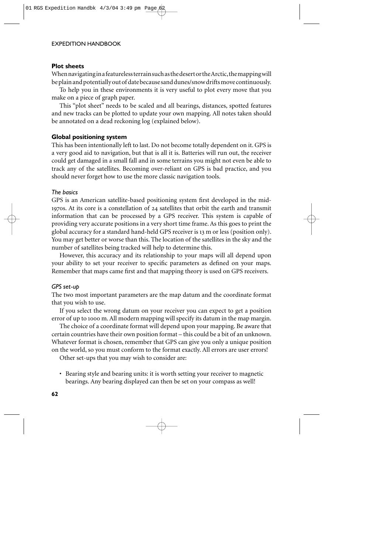#### **Plot sheets**

WhennavigatinginafeaturelessterrainsuchasthedesertortheArctic,themappingwill beplainandpotentiallyoutof datebecausesanddunes/snowdriftsmovecontinuously.

To help you in these environments it is very useful to plot every move that you make on a piece of graph paper.

This "plot sheet" needs to be scaled and all bearings, distances, spotted features and new tracks can be plotted to update your own mapping. All notes taken should be annotated on a dead reckoning log (explained below).

### **Global positioning system**

This has been intentionally left to last. Do not become totally dependent on it. GPS is a very good aid to navigation, but that is all it is. Batteries will run out, the receiver could get damaged in a small fall and in some terrains you might not even be able to track any of the satellites. Becoming over-reliant on GPS is bad practice, and you should never forget how to use the more classic navigation tools.

#### *The basics*

GPS is an American satellite-based positioning system first developed in the mid-1970s. At its core is a constellation of 24 satellites that orbit the earth and transmit information that can be processed by a GPS receiver. This system is capable of providing very accurate positions in a very short time frame. As this goes to print the global accuracy for a standard hand-held GPS receiver is 13 m or less (position only). You may get better or worse than this. The location of the satellites in the sky and the number of satellites being tracked will help to determine this.

However, this accuracy and its relationship to your maps will all depend upon your ability to set your receiver to specific parameters as defined on your maps. Remember that maps came first and that mapping theory is used on GPS receivers.

#### *GPS set-up*

The two most important parameters are the map datum and the coordinate format that you wish to use.

If you select the wrong datum on your receiver you can expect to get a position error of up to 1000 m. All modern mapping will specify its datum in the map margin.

The choice of a coordinate format will depend upon your mapping. Be aware that certain countries have their own position format – this could be a bit of an unknown. Whatever format is chosen, remember that GPS can give you only a unique position on the world, so you must conform to the format exactly. All errors are user errors!

Other set-ups that you may wish to consider are:

• Bearing style and bearing units: it is worth setting your receiver to magnetic bearings. Any bearing displayed can then be set on your compass as well!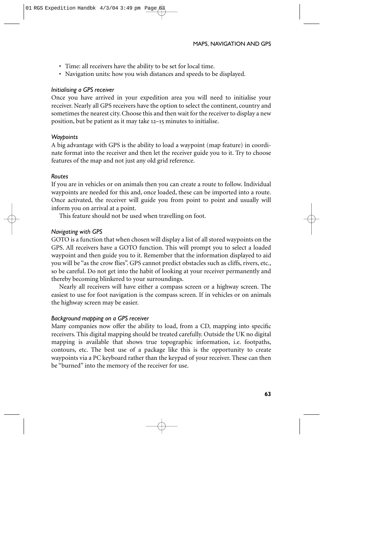- Time: all receivers have the ability to be set for local time.
- Navigation units: how you wish distances and speeds to be displayed.

### *Initialising a GPS receiver*

Once you have arrived in your expedition area you will need to initialise your receiver. Nearly all GPS receivers have the option to select the continent, country and sometimes the nearest city. Choose this and then wait for the receiver to display a new position, but be patient as it may take 12–15 minutes to initialise.

#### *Waypoints*

A big advantage with GPS is the ability to load a waypoint (map feature) in coordinate format into the receiver and then let the receiver guide you to it. Try to choose features of the map and not just any old grid reference.

#### *Routes*

If you are in vehicles or on animals then you can create a route to follow. Individual waypoints are needed for this and, once loaded, these can be imported into a route. Once activated, the receiver will guide you from point to point and usually will inform you on arrival at a point.

This feature should not be used when travelling on foot.

#### *Navigating with GPS*

GOTO is a function that when chosen will display a list of all stored waypoints on the GPS. All receivers have a GOTO function. This will prompt you to select a loaded waypoint and then guide you to it. Remember that the information displayed to aid you will be "as the crow flies". GPS cannot predict obstacles such as cliffs, rivers, etc., so be careful. Do not get into the habit of looking at your receiver permanently and thereby becoming blinkered to your surroundings.

Nearly all receivers will have either a compass screen or a highway screen. The easiest to use for foot navigation is the compass screen. If in vehicles or on animals the highway screen may be easier.

### *Background mapping on a GPS receiver*

Many companies now offer the ability to load, from a CD, mapping into specific receivers. This digital mapping should be treated carefully. Outside the UK no digital mapping is available that shows true topographic information, i.e. footpaths, contours, etc. The best use of a package like this is the opportunity to create waypoints via a PC keyboard rather than the keypad of your receiver. These can then be "burned" into the memory of the receiver for use.



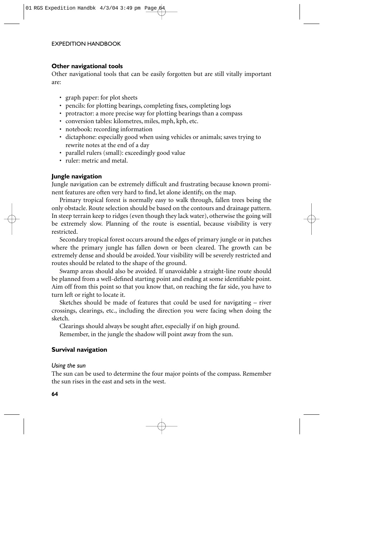#### **Other navigational tools**

Other navigational tools that can be easily forgotten but are still vitally important are:

- graph paper: for plot sheets
- pencils: for plotting bearings, completing fixes, completing logs
- protractor: a more precise way for plotting bearings than a compass
- conversion tables: kilometres, miles, mph, kph, etc.
- notebook: recording information
- dictaphone: especially good when using vehicles or animals; saves trying to rewrite notes at the end of a day
- parallel rulers (small): exceedingly good value
- ruler: metric and metal.

### **Jungle navigation**

Jungle navigation can be extremely difficult and frustrating because known prominent features are often very hard to find, let alone identify, on the map.

Primary tropical forest is normally easy to walk through, fallen trees being the only obstacle. Route selection should be based on the contours and drainage pattern. In steep terrain keep to ridges (even though they lack water), otherwise the going will be extremely slow. Planning of the route is essential, because visibility is very restricted.

Secondary tropical forest occurs around the edges of primary jungle or in patches where the primary jungle has fallen down or been cleared. The growth can be extremely dense and should be avoided. Your visibility will be severely restricted and routes should be related to the shape of the ground.

Swamp areas should also be avoided. If unavoidable a straight-line route should be planned from a well-defined starting point and ending at some identifiable point. Aim off from this point so that you know that, on reaching the far side, you have to turn left or right to locate it.

Sketches should be made of features that could be used for navigating – river crossings, clearings, etc., including the direction you were facing when doing the sketch.

Clearings should always be sought after, especially if on high ground.

Remember, in the jungle the shadow will point away from the sun.

### **Survival navigation**

*Using the sun*

The sun can be used to determine the four major points of the compass. Remember the sun rises in the east and sets in the west.

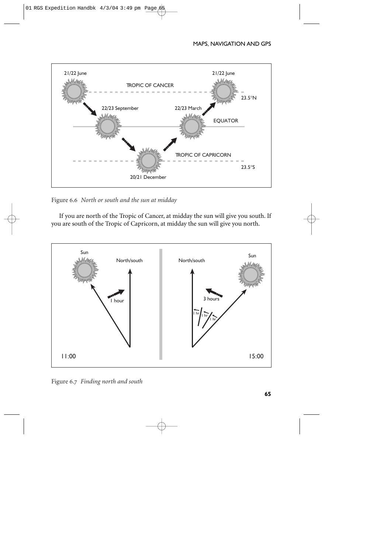

Figure 6.6 *North or south and the sun at midday*

If you are north of the Tropic of Cancer, at midday the sun will give you south. If you are south of the Tropic of Capricorn, at midday the sun will give you north.



Figure 6.7 *Finding north and south*



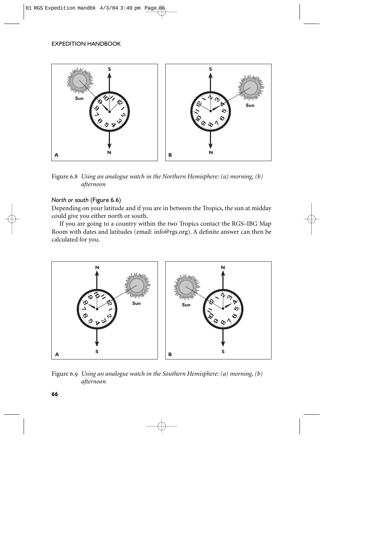

Figure 6.8 *Using an analogue watch in the Northern Hemisphere: (a) morning, (b) afternoon* 

# *North or south* (Figure 6.6)

Depending on your latitude and if you are in between the Tropics, the sun at midday could give you either north or south.

If you are going to a country within the two Tropics contact the RGS–IBG Map Room with dates and latitudes (email: info@rgs.org). A definite answer can then be calculated for you.



Figure 6.9 *Using an analogue watch in the Southern Hemisphere: (a) morning, (b) afternoon*

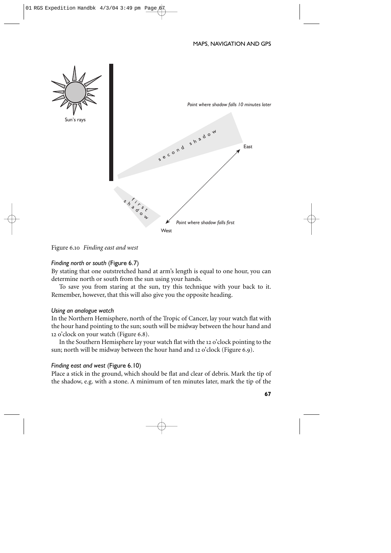

Figure 6.10 *Finding east and west*

### *Finding north or south* (Figure 6.7)

By stating that one outstretched hand at arm's length is equal to one hour, you can determine north or south from the sun using your hands.

To save you from staring at the sun, try this technique with your back to it. Remember, however, that this will also give you the opposite heading.

### *Using an analogue watch*

In the Northern Hemisphere, north of the Tropic of Cancer, lay your watch flat with the hour hand pointing to the sun; south will be midway between the hour hand and 12 o'clock on your watch (Figure 6.8).

In the Southern Hemisphere lay your watch flat with the 12 o'clock pointing to the sun; north will be midway between the hour hand and 12 o'clock (Figure 6.9).

### *Finding east and west* (Figure 6.10)

Place a stick in the ground, which should be flat and clear of debris. Mark the tip of the shadow, e.g. with a stone. A minimum of ten minutes later, mark the tip of the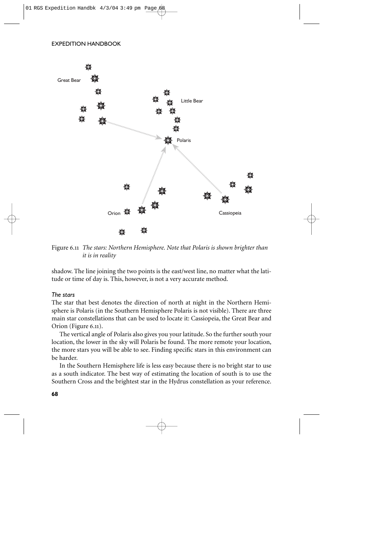



Figure 6.11 *The stars: Northern Hemisphere. Note that Polaris is shown brighter than it is in reality*

shadow. The line joining the two points is the east/west line, no matter what the latitude or time of day is. This, however, is not a very accurate method.

### *The stars*

The star that best denotes the direction of north at night in the Northern Hemisphere is Polaris (in the Southern Hemisphere Polaris is not visible). There are three main star constellations that can be used to locate it: Cassiopeia, the Great Bear and Orion (Figure 6.11).

The vertical angle of Polaris also gives you your latitude. So the further south your location, the lower in the sky will Polaris be found. The more remote your location, the more stars you will be able to see. Finding specific stars in this environment can be harder.

In the Southern Hemisphere life is less easy because there is no bright star to use as a south indicator. The best way of estimating the location of south is to use the Southern Cross and the brightest star in the Hydrus constellation as your reference.

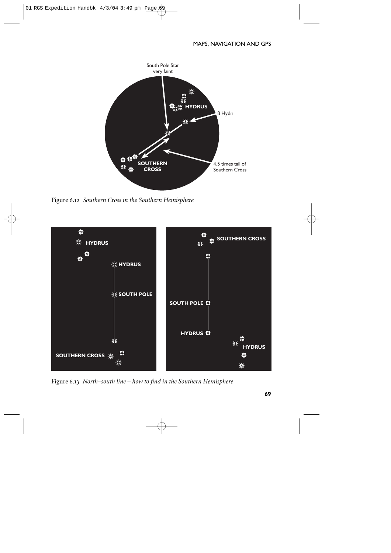

Figure 6.12 *Southern Cross in the Southern Hemisphere*



Figure 6.13 *North–south line – how to find in the Southern Hemisphere*

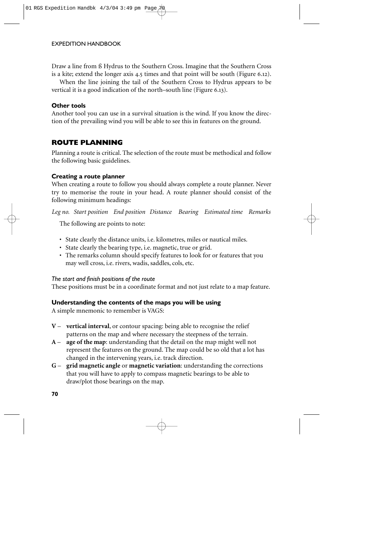Draw a line from ß Hydrus to the Southern Cross. Imagine that the Southern Cross is a kite; extend the longer axis 4.5 times and that point will be south (Figure 6.12).

When the line joining the tail of the Southern Cross to Hydrus appears to be vertical it is a good indication of the north–south line (Figure 6.13).

### **Other tools**

Another tool you can use in a survival situation is the wind. If you know the direction of the prevailing wind you will be able to see this in features on the ground.

# **ROUTE PLANNING**

Planning a route is critical. The selection of the route must be methodical and follow the following basic guidelines.

### **Creating a route planner**

When creating a route to follow you should always complete a route planner. Never try to memorise the route in your head. A route planner should consist of the following minimum headings:

*Leg no. Start position End position Distance Bearing Estimated time Remarks*

The following are points to note:

- State clearly the distance units, i.e. kilometres, miles or nautical miles.
- State clearly the bearing type, i.e. magnetic, true or grid.
- The remarks column should specify features to look for or features that you may well cross, i.e. rivers, wadis, saddles, cols, etc.

#### *The start and finish positions of the route*

These positions must be in a coordinate format and not just relate to a map feature.

### **Understanding the contents of the maps you will be using**

A simple mnemonic to remember is VAGS:

- **V vertical interval**, or contour spacing: being able to recognise the relief patterns on the map and where necessary the steepness of the terrain.
- **A age of the map**: understanding that the detail on the map might well not represent the features on the ground. The map could be so old that a lot has changed in the intervening years, i.e. track direction.
- **G grid magnetic angle** or **magnetic variation**: understanding the corrections that you will have to apply to compass magnetic bearings to be able to draw/plot those bearings on the map.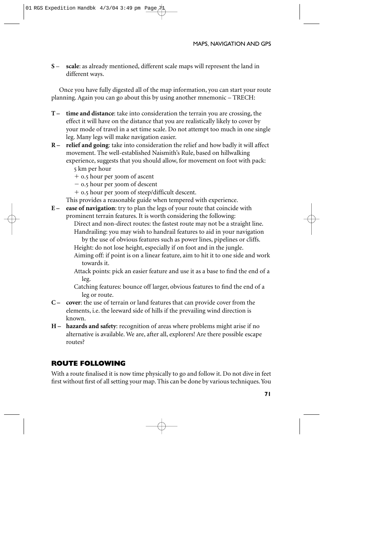**S** – **scale**: as already mentioned, different scale maps will represent the land in different ways.

Once you have fully digested all of the map information, you can start your route planning. Again you can go about this by using another mnemonic – TRECH:

- **T time and distance**: take into consideration the terrain you are crossing, the effect it will have on the distance that you are realistically likely to cover by your mode of travel in a set time scale. Do not attempt too much in one single leg. Many legs will make navigation easier.
- **R relief and going**: take into consideration the relief and how badly it will affect movement. The well-established Naismith's Rule, based on hillwalking experience, suggests that you should allow, for movement on foot with pack: 5 km per hour
	- 0.5 hour per 300m of ascent
	- 0.5 hour per 300m of descent
	- 0.5 hour per 300m of steep/difficult descent.

This provides a reasonable guide when tempered with experience.

**E – ease of navigation**: try to plan the legs of your route that coincide with prominent terrain features. It is worth considering the following:

Direct and non-direct routes: the fastest route may not be a straight line. Handrailing: you may wish to handrail features to aid in your navigation

by the use of obvious features such as power lines, pipelines or cliffs. Height: do not lose height, especially if on foot and in the jungle.

Aiming off: if point is on a linear feature, aim to hit it to one side and work towards it.

Attack points: pick an easier feature and use it as a base to find the end of a leg.

Catching features: bounce off larger, obvious features to find the end of a leg or route.

- **C cover**: the use of terrain or land features that can provide cover from the elements, i.e. the leeward side of hills if the prevailing wind direction is known.
- **H hazards and safety**: recognition of areas where problems might arise if no alternative is available. We are, after all, explorers! Are there possible escape routes?

# **ROUTE FOLLOWING**

With a route finalised it is now time physically to go and follow it. Do not dive in feet first without first of all setting your map. This can be done by various techniques. You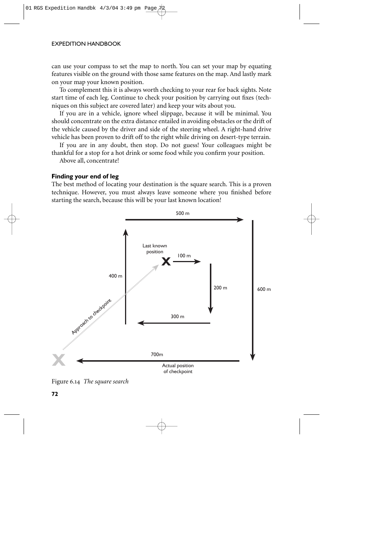can use your compass to set the map to north. You can set your map by equating features visible on the ground with those same features on the map. And lastly mark on your map your known position.

To complement this it is always worth checking to your rear for back sights. Note start time of each leg. Continue to check your position by carrying out fixes (techniques on this subject are covered later) and keep your wits about you.

If you are in a vehicle, ignore wheel slippage, because it will be minimal. You should concentrate on the extra distance entailed in avoiding obstacles or the drift of the vehicle caused by the driver and side of the steering wheel. A right-hand drive vehicle has been proven to drift off to the right while driving on desert-type terrain.

If you are in any doubt, then stop. Do not guess! Your colleagues might be thankful for a stop for a hot drink or some food while you confirm your position.

Above all, concentrate!

### **Finding your end of leg**

The best method of locating your destination is the square search. This is a proven technique. However, you must always leave someone where you finished before starting the search, because this will be your last known location!



Figure 6.14 *The square search*

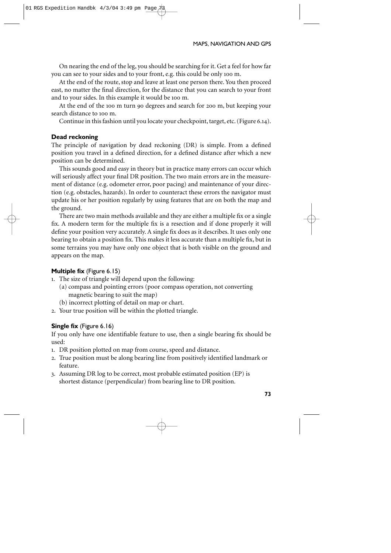On nearing the end of the leg, you should be searching for it. Get a feel for how far you can see to your sides and to your front, e.g. this could be only 100 m.

At the end of the route, stop and leave at least one person there. You then proceed east, no matter the final direction, for the distance that you can search to your front and to your sides. In this example it would be 100 m.

At the end of the 100 m turn 90 degrees and search for 200 m, but keeping your search distance to 100 m.

Continue in this fashion until you locate your checkpoint, target, etc. (Figure 6.14).

### **Dead reckoning**

01 RGS Expedition Handbk 4/3/04 3:49 pm Page

The principle of navigation by dead reckoning (DR) is simple. From a defined position you travel in a defined direction, for a defined distance after which a new position can be determined.

This sounds good and easy in theory but in practice many errors can occur which will seriously affect your final DR position. The two main errors are in the measurement of distance (e.g. odometer error, poor pacing) and maintenance of your direction (e.g. obstacles, hazards). In order to counteract these errors the navigator must update his or her position regularly by using features that are on both the map and the ground.

There are two main methods available and they are either a multiple fix or a single fix. A modern term for the multiple fix is a resection and if done properly it will define your position very accurately. A single fix does as it describes. It uses only one bearing to obtain a position fix. This makes it less accurate than a multiple fix, but in some terrains you may have only one object that is both visible on the ground and appears on the map.

### **Multiple fix** (Figure 6.15)

- 1. The size of triangle will depend upon the following:
	- (a) compass and pointing errors (poor compass operation, not converting magnetic bearing to suit the map)
	- (b) incorrect plotting of detail on map or chart.
- 2. Your true position will be within the plotted triangle.

### **Single fix** (Figure 6.16)

If you only have one identifiable feature to use, then a single bearing fix should be used:

- 1. DR position plotted on map from course, speed and distance.
- 2. True position must be along bearing line from positively identified landmark or feature.
- 3. Assuming DR log to be correct, most probable estimated position (EP) is shortest distance (perpendicular) from bearing line to DR position.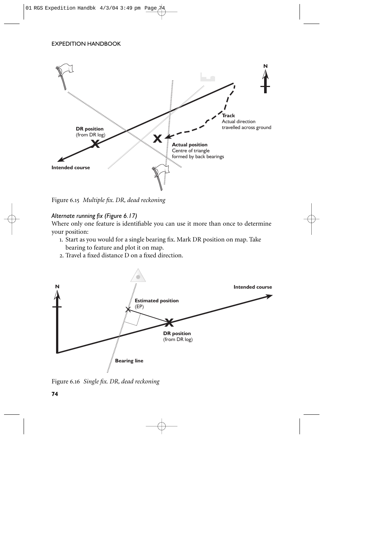



Figure 6.15 *Multiple fix. DR, dead reckoning*

# *Alternate running fix (Figure 6.17)*

Where only one feature is identifiable you can use it more than once to determine your position:

- 1. Start as you would for a single bearing fix. Mark DR position on map. Take bearing to feature and plot it on map.
- 2. Travel a fixed distance D on a fixed direction.



Figure 6.16 *Single fix. DR, dead reckoning*

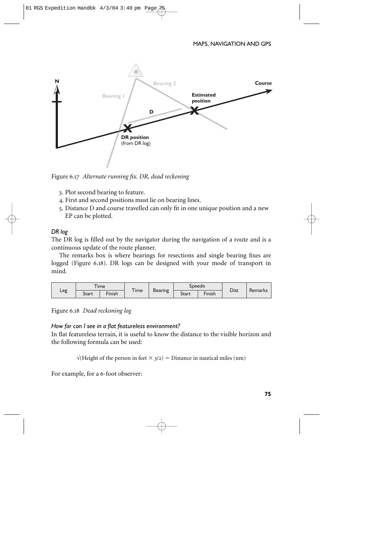

Figure 6.17 *Alternate running fix. DR, dead reckoning*

- 3. Plot second bearing to feature.
- 4. First and second positions must lie on bearing lines.
- 5. Distance D and course travelled can only fit in one unique position and a new EP can be plotted.

### *DR log*

The DR log is filled out by the navigator during the navigation of a route and is a continuous update of the route planner.

The remarks box is where bearings for resections and single bearing fixes are logged (Figure 6.18). DR logs can be designed with your mode of transport in mind.

| Leg |       | ime           | Time | <b>Bearing</b> | Speedo       |           | Dist | Remarks |
|-----|-------|---------------|------|----------------|--------------|-----------|------|---------|
|     | Start | <b>Finish</b> |      |                | <b>Start</b> | $r$ inish |      |         |

Figure 6.18 *Dead reckoning log*

## *How far can I see in a flat featureless environment?*

In flat featureless terrain, it is useful to know the distance to the visible horizon and the following formula can be used:

 $\sqrt{\text{(Height of the person in feet} \times \frac{3}{2})}$  = Distance in nautical miles (nm)

For example, for a 6-foot observer:

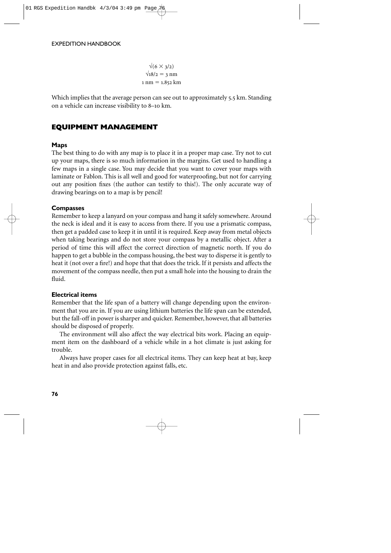$$
\sqrt{(6 \times 3/2)}
$$
  

$$
\sqrt{18/2} = 3 \text{ nm}
$$
  

$$
1 \text{ nm} = 1.852 \text{ km}
$$

Which implies that the average person can see out to approximately 5.5 km. Standing on a vehicle can increase visibility to 8–10 km.

# **EQUIPMENT MANAGEMENT**

### **Maps**

The best thing to do with any map is to place it in a proper map case. Try not to cut up your maps, there is so much information in the margins. Get used to handling a few maps in a single case. You may decide that you want to cover your maps with laminate or Fablon. This is all well and good for waterproofing, but not for carrying out any position fixes (the author can testify to this!). The only accurate way of drawing bearings on to a map is by pencil!

### **Compasses**

Remember to keep a lanyard on your compass and hang it safely somewhere. Around the neck is ideal and it is easy to access from there. If you use a prismatic compass, then get a padded case to keep it in until it is required. Keep away from metal objects when taking bearings and do not store your compass by a metallic object. After a period of time this will affect the correct direction of magnetic north. If you do happen to get a bubble in the compass housing, the best way to disperse it is gently to heat it (not over a fire!) and hope that that does the trick. If it persists and affects the movement of the compass needle, then put a small hole into the housing to drain the fluid.

### **Electrical items**

Remember that the life span of a battery will change depending upon the environment that you are in. If you are using lithium batteries the life span can be extended, but the fall-off in power is sharper and quicker. Remember, however, that all batteries should be disposed of properly.

The environment will also affect the way electrical bits work. Placing an equipment item on the dashboard of a vehicle while in a hot climate is just asking for trouble.

Always have proper cases for all electrical items. They can keep heat at bay, keep heat in and also provide protection against falls, etc.

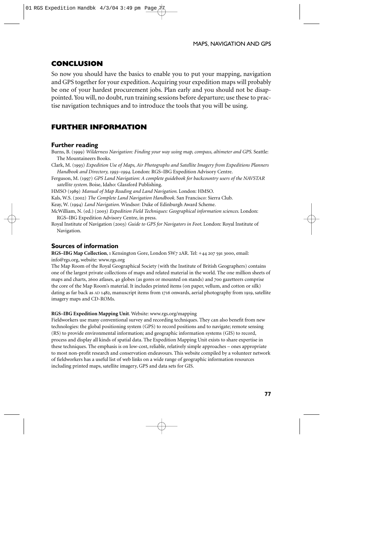### **CONCLUSION**

So now you should have the basics to enable you to put your mapping, navigation and GPS together for your expedition. Acquiring your expedition maps will probably be one of your hardest procurement jobs. Plan early and you should not be disappointed. You will, no doubt, run training sessions before departure; use these to practise navigation techniques and to introduce the tools that you will be using.

# **FURTHER INFORMATION**

### **Further reading**

Burns, B. (1999) *Wilderness Navigation: Finding your way using map, compass, altimeter and GPS*. Seattle: The Mountaineers Books.

Clark, M. (1993) *Expedition Use of Maps, Air Photographs and Satellite Imagery from Expeditions Planners Handbook and Directory, 1993–1994*. London: RGS–IBG Expedition Advisory Centre.

Ferguson, M. (1997) *GPS Land Navigation: A complete guidebook for backcountry users of the NAVSTAR satellite system*. Boise, Idaho: Glassford Publishing.

HMSO (1989) *Manual of Map Reading and Land Navigation*. London: HMSO.

Kals, W.S. (2002) *The Complete Land Navigation Handbook*. San Francisco: Sierra Club.

Keay, W. (1994) *Land Navigation*. Windsor: Duke of Edinburgh Award Scheme.

McWilliam, N. (ed.) (2003) *Expedition Field Techniques: Geographical information sciences*. London: RGS–IBG Expedition Advisory Centre, in press.

Royal Institute of Navigation (2003) *Guide to GPS for Navigators in Foot*. London: Royal Institute of Navigation.

### **Sources of information**

**RGS–IBG Map Collection**, 1 Kensington Gore, London SW7 2AR. Tel: +44 207 591 3000, email: info@rgs.org, website: www.rgs.org

The Map Room of the Royal Geographical Society (with the Institute of British Geographers) contains one of the largest private collections of maps and related material in the world. The one million sheets of maps and charts, 2600 atlases, 40 globes (as gores or mounted on stands) and 700 gazetteers comprise the core of the Map Room's material. It includes printed items (on paper, vellum, and cotton or silk) dating as far back as AD 1482, manuscript items from 1716 onwards, aerial photography from 1919, satellite imagery maps and CD-ROMs.

### **RGS–IBG Expedition Mapping Unit**. Website: www.rgs.org/mapping

Fieldworkers use many conventional survey and recording techniques. They can also benefit from new technologies: the global positioning system (GPS) to record positions and to navigate; remote sensing (RS) to provide environmental information; and geographic information systems (GIS) to record, process and display all kinds of spatial data. The Expedition Mapping Unit exists to share expertise in these techniques. The emphasis is on low-cost, reliable, relatively simple approaches – ones appropriate to most non-profit research and conservation endeavours. This website compiled by a volunteer network of fieldworkers has a useful list of web links on a wide range of geographic information resources including printed maps, satellite imagery, GPS and data sets for GIS.